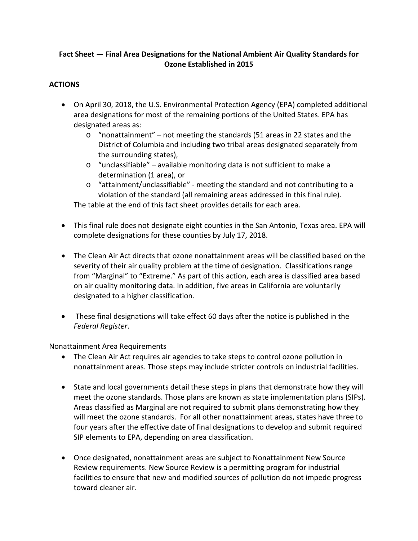## **Fact Sheet — Final Area Designations for the National Ambient Air Quality Standards for Ozone Established in 2015**

## **ACTIONS**

- On April 30, 2018, the U.S. Environmental Protection Agency (EPA) completed additional area designations for most of the remaining portions of the United States. EPA has designated areas as:
	- o "nonattainment" not meeting the standards (51 areas in 22 states and the District of Columbia and including two tribal areas designated separately from the surrounding states),
	- o "unclassifiable" available monitoring data is not sufficient to make a determination (1 area), or
	- o "attainment/unclassifiable" meeting the standard and not contributing to a violation of the standard (all remaining areas addressed in this final rule).

The table at the end of this fact sheet provides details for each area.

- This final rule does not designate eight counties in the San Antonio, Texas area. EPA will complete designations for these counties by July 17, 2018.
- The Clean Air Act directs that ozone nonattainment areas will be classified based on the severity of their air quality problem at the time of designation. Classifications range from "Marginal" to "Extreme." As part of this action, each area is classified area based on air quality monitoring data. In addition, five areas in California are voluntarily designated to a higher classification.
- These final designations will take effect 60 days after the notice is published in the *Federal Register*.

Nonattainment Area Requirements

- The Clean Air Act requires air agencies to take steps to control ozone pollution in nonattainment areas. Those steps may include stricter controls on industrial facilities.
- State and local governments detail these steps in plans that demonstrate how they will meet the ozone standards. Those plans are known as state implementation plans (SIPs). Areas classified as Marginal are not required to submit plans demonstrating how they will meet the ozone standards. For all other nonattainment areas, states have three to four years after the effective date of final designations to develop and submit required SIP elements to EPA, depending on area classification.
- Once designated, nonattainment areas are subject to Nonattainment New Source Review requirements. New Source Review is a permitting program for industrial facilities to ensure that new and modified sources of pollution do not impede progress toward cleaner air.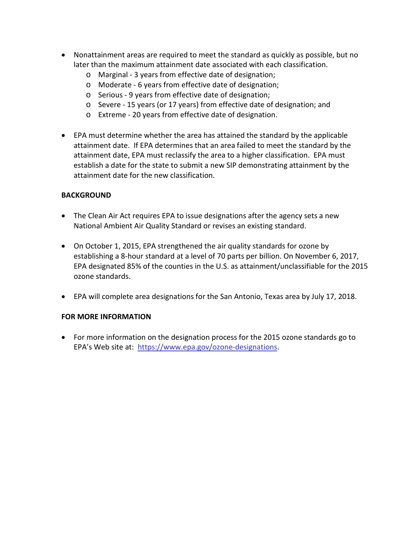- Nonattainment areas are required to meet the standard as quickly as possible, but no later than the maximum attainment date associated with each classification.
	- o Marginal 3 years from effective date of designation;
	- o Moderate 6 years from effective date of designation;
	- o Serious 9 years from effective date of designation;
	- o Severe 15 years (or 17 years) from effective date of designation; and
	- o Extreme 20 years from effective date of designation.
- EPA must determine whether the area has attained the standard by the applicable attainment date. If EPA determines that an area failed to meet the standard by the attainment date, EPA must reclassify the area to a higher classification. EPA must establish a date for the state to submit a new SIP demonstrating attainment by the attainment date for the new classification.

#### **BACKGROUND**

- The Clean Air Act requires EPA to issue designations after the agency sets a new National Ambient Air Quality Standard or revises an existing standard.
- On October 1, 2015, EPA strengthened the air quality standards for ozone by establishing a 8-hour standard at a level of 70 parts per billion. On November 6, 2017, EPA designated 85% of the counties in the U.S. as attainment/unclassifiable for the 2015 ozone standards.
- EPA will complete area designations for the San Antonio, Texas area by July 17, 2018.

### **FOR MORE INFORMATION**

• For more information on the designation process for the 2015 ozone standards go to EPA's Web site at: [https://www.epa.gov/ozone-designations.](https://www.epa.gov/ozone-designations)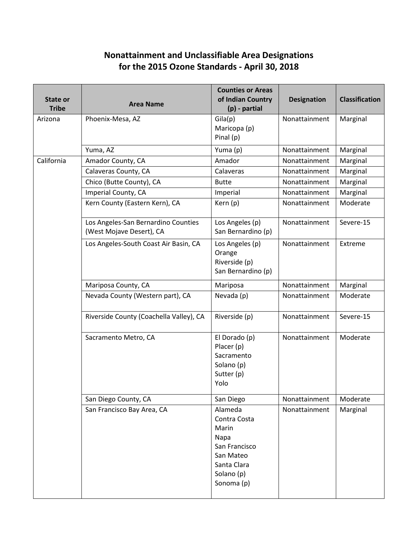# **Nonattainment and Unclassifiable Area Designations for the 2015 Ozone Standards - April 30, 2018**

| State or<br><b>Tribe</b> | <b>Area Name</b>                                                | <b>Counties or Areas</b><br>of Indian Country<br>$(p)$ - partial                                                  | <b>Designation</b> | <b>Classification</b> |
|--------------------------|-----------------------------------------------------------------|-------------------------------------------------------------------------------------------------------------------|--------------------|-----------------------|
| Arizona                  | Phoenix-Mesa, AZ                                                | Gila(p)<br>Maricopa (p)<br>Pinal (p)                                                                              | Nonattainment      | Marginal              |
|                          | Yuma, AZ                                                        | Yuma (p)                                                                                                          | Nonattainment      | Marginal              |
| California               | Amador County, CA                                               | Amador                                                                                                            | Nonattainment      | Marginal              |
|                          | Calaveras County, CA                                            | Calaveras                                                                                                         | Nonattainment      | Marginal              |
|                          | Chico (Butte County), CA                                        | <b>Butte</b>                                                                                                      | Nonattainment      | Marginal              |
|                          | Imperial County, CA                                             | Imperial                                                                                                          | Nonattainment      | Marginal              |
|                          | Kern County (Eastern Kern), CA                                  | Kern (p)                                                                                                          | Nonattainment      | Moderate              |
|                          | Los Angeles-San Bernardino Counties<br>(West Mojave Desert), CA | Los Angeles (p)<br>San Bernardino (p)                                                                             | Nonattainment      | Severe-15             |
|                          | Los Angeles-South Coast Air Basin, CA                           | Los Angeles (p)<br>Orange<br>Riverside (p)<br>San Bernardino (p)                                                  | Nonattainment      | Extreme               |
|                          | Mariposa County, CA                                             | Mariposa                                                                                                          | Nonattainment      | Marginal              |
|                          | Nevada County (Western part), CA                                | Nevada (p)                                                                                                        | Nonattainment      | Moderate              |
|                          | Riverside County (Coachella Valley), CA                         | Riverside (p)                                                                                                     | Nonattainment      | Severe-15             |
|                          | Sacramento Metro, CA                                            | El Dorado (p)<br>Placer (p)<br>Sacramento<br>Solano (p)<br>Sutter (p)<br>Yolo                                     | Nonattainment      | Moderate              |
|                          | San Diego County, CA                                            | San Diego                                                                                                         | Nonattainment      | Moderate              |
|                          | San Francisco Bay Area, CA                                      | Alameda<br>Contra Costa<br>Marin<br>Napa<br>San Francisco<br>San Mateo<br>Santa Clara<br>Solano (p)<br>Sonoma (p) | Nonattainment      | Marginal              |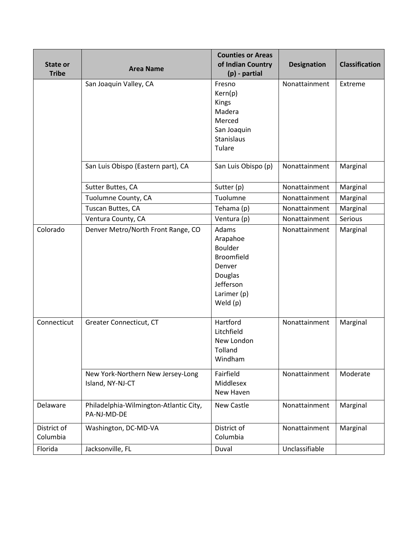| State or                | <b>Area Name</b>                                      | <b>Counties or Areas</b><br>of Indian Country                                                                         | <b>Designation</b>             | <b>Classification</b> |
|-------------------------|-------------------------------------------------------|-----------------------------------------------------------------------------------------------------------------------|--------------------------------|-----------------------|
| <b>Tribe</b>            | San Joaquin Valley, CA                                | $(p)$ - partial<br>Fresno<br>Kern(p)<br><b>Kings</b><br>Madera<br>Merced<br>San Joaquin<br>Stanislaus<br>Tulare       | Nonattainment                  | Extreme               |
|                         | San Luis Obispo (Eastern part), CA                    | San Luis Obispo (p)                                                                                                   | Nonattainment                  | Marginal              |
|                         | Sutter Buttes, CA<br>Tuolumne County, CA              | Sutter (p)<br>Tuolumne                                                                                                | Nonattainment<br>Nonattainment | Marginal<br>Marginal  |
|                         | Tuscan Buttes, CA<br>Ventura County, CA               | Tehama (p)<br>Ventura (p)                                                                                             | Nonattainment<br>Nonattainment | Marginal<br>Serious   |
| Colorado                | Denver Metro/North Front Range, CO                    | Adams<br>Arapahoe<br><b>Boulder</b><br><b>Broomfield</b><br>Denver<br>Douglas<br>Jefferson<br>Larimer (p)<br>Weld (p) | Nonattainment                  | Marginal              |
| Connecticut             | Greater Connecticut, CT                               | Hartford<br>Litchfield<br>New London<br>Tolland<br>Windham                                                            | Nonattainment                  | Marginal              |
|                         | New York-Northern New Jersey-Long<br>Island, NY-NJ-CT | Fairfield<br>Middlesex<br>New Haven                                                                                   | Nonattainment                  | Moderate              |
| Delaware                | Philadelphia-Wilmington-Atlantic City,<br>PA-NJ-MD-DE | New Castle                                                                                                            | Nonattainment                  | Marginal              |
| District of<br>Columbia | Washington, DC-MD-VA                                  | District of<br>Columbia                                                                                               | Nonattainment                  | Marginal              |
| Florida                 | Jacksonville, FL                                      | Duval                                                                                                                 | Unclassifiable                 |                       |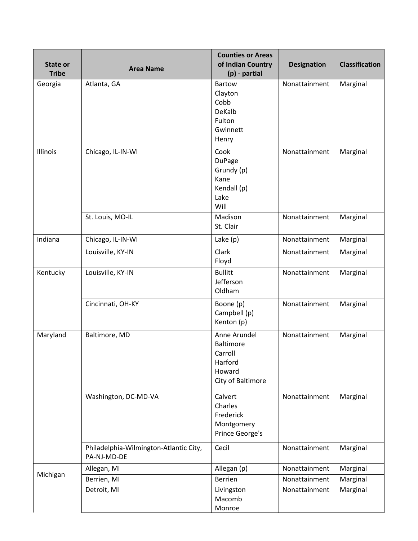| State or<br><b>Tribe</b> | <b>Area Name</b>                                      | <b>Counties or Areas</b><br>of Indian Country<br>(p) - partial                 | <b>Designation</b> | <b>Classification</b> |
|--------------------------|-------------------------------------------------------|--------------------------------------------------------------------------------|--------------------|-----------------------|
| Georgia                  | Atlanta, GA                                           | <b>Bartow</b><br>Clayton<br>Cobb<br>DeKalb<br>Fulton<br>Gwinnett<br>Henry      | Nonattainment      | Marginal              |
| Illinois                 | Chicago, IL-IN-WI                                     | Cook<br><b>DuPage</b><br>Grundy (p)<br>Kane<br>Kendall (p)<br>Lake<br>Will     | Nonattainment      | Marginal              |
|                          | St. Louis, MO-IL                                      | Madison<br>St. Clair                                                           | Nonattainment      | Marginal              |
| Indiana                  | Chicago, IL-IN-WI                                     | Lake (p)                                                                       | Nonattainment      | Marginal              |
|                          | Louisville, KY-IN                                     | Clark<br>Floyd                                                                 | Nonattainment      | Marginal              |
| Kentucky                 | Louisville, KY-IN                                     | <b>Bullitt</b><br>Jefferson<br>Oldham                                          | Nonattainment      | Marginal              |
|                          | Cincinnati, OH-KY                                     | Boone (p)<br>Campbell (p)<br>Kenton (p)                                        | Nonattainment      | Marginal              |
| Maryland                 | Baltimore, MD                                         | Anne Arundel<br>Baltimore<br>Carroll<br>Harford<br>Howard<br>City of Baltimore | Nonattainment      | Marginal              |
|                          | Washington, DC-MD-VA                                  | Calvert<br>Charles<br>Frederick<br>Montgomery<br>Prince George's               | Nonattainment      | Marginal              |
|                          | Philadelphia-Wilmington-Atlantic City,<br>PA-NJ-MD-DE | Cecil                                                                          | Nonattainment      | Marginal              |
|                          | Allegan, MI                                           | Allegan (p)                                                                    | Nonattainment      | Marginal              |
| Michigan                 | Berrien, MI                                           | Berrien                                                                        | Nonattainment      | Marginal              |
|                          | Detroit, MI                                           | Livingston<br>Macomb<br>Monroe                                                 | Nonattainment      | Marginal              |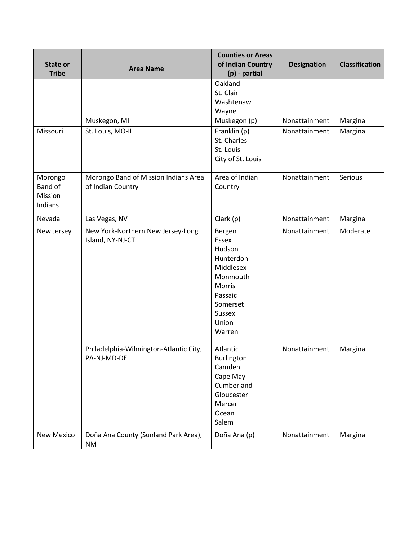| <b>State or</b><br><b>Tribe</b>          | <b>Area Name</b>                                          | <b>Counties or Areas</b><br>of Indian Country<br>(p) - partial                                                                              | <b>Designation</b> | <b>Classification</b> |
|------------------------------------------|-----------------------------------------------------------|---------------------------------------------------------------------------------------------------------------------------------------------|--------------------|-----------------------|
|                                          |                                                           | Oakland<br>St. Clair<br>Washtenaw<br>Wayne                                                                                                  |                    |                       |
|                                          | Muskegon, MI                                              | Muskegon (p)                                                                                                                                | Nonattainment      | Marginal              |
| Missouri                                 | St. Louis, MO-IL                                          | Franklin (p)<br>St. Charles<br>St. Louis<br>City of St. Louis                                                                               | Nonattainment      | Marginal              |
| Morongo<br>Band of<br>Mission<br>Indians | Morongo Band of Mission Indians Area<br>of Indian Country | Area of Indian<br>Country                                                                                                                   | Nonattainment      | Serious               |
| Nevada                                   | Las Vegas, NV                                             | Clark (p)                                                                                                                                   | Nonattainment      | Marginal              |
| New Jersey                               | New York-Northern New Jersey-Long<br>Island, NY-NJ-CT     | Bergen<br><b>Essex</b><br>Hudson<br>Hunterdon<br>Middlesex<br>Monmouth<br>Morris<br>Passaic<br>Somerset<br><b>Sussex</b><br>Union<br>Warren | Nonattainment      | Moderate              |
|                                          | Philadelphia-Wilmington-Atlantic City,<br>PA-NJ-MD-DE     | Atlantic<br>Burlington<br>Camden<br>Cape May<br>Cumberland<br>Gloucester<br>Mercer<br>Ocean<br>Salem                                        | Nonattainment      | Marginal              |
| New Mexico                               | Doña Ana County (Sunland Park Area),<br>NM                | Doña Ana (p)                                                                                                                                | Nonattainment      | Marginal              |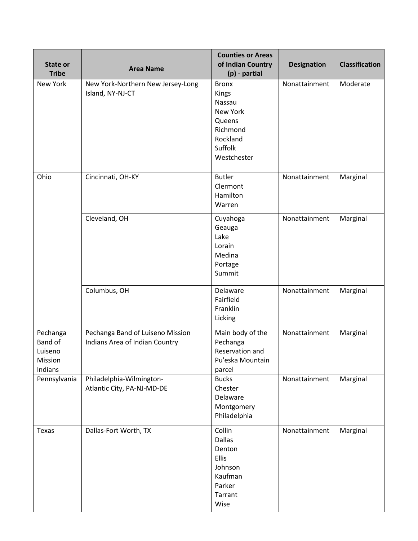| State or<br><b>Tribe</b>                             | <b>Area Name</b>                                                   | <b>Counties or Areas</b><br>of Indian Country<br>(p) - partial                                          | <b>Designation</b> | <b>Classification</b> |
|------------------------------------------------------|--------------------------------------------------------------------|---------------------------------------------------------------------------------------------------------|--------------------|-----------------------|
| New York                                             | New York-Northern New Jersey-Long<br>Island, NY-NJ-CT              | <b>Bronx</b><br>Kings<br>Nassau<br>New York<br>Queens<br>Richmond<br>Rockland<br>Suffolk<br>Westchester | Nonattainment      | Moderate              |
| Ohio                                                 | Cincinnati, OH-KY                                                  | <b>Butler</b><br>Clermont<br>Hamilton<br>Warren                                                         | Nonattainment      | Marginal              |
|                                                      | Cleveland, OH                                                      | Cuyahoga<br>Geauga<br>Lake<br>Lorain<br>Medina<br>Portage<br>Summit                                     | Nonattainment      | Marginal              |
|                                                      | Columbus, OH                                                       | Delaware<br>Fairfield<br>Franklin<br>Licking                                                            | Nonattainment      | Marginal              |
| Pechanga<br>Band of<br>Luiseno<br>Mission<br>Indians | Pechanga Band of Luiseno Mission<br>Indians Area of Indian Country | Main body of the<br>Pechanga<br>Reservation and<br>Pu'eska Mountain<br>parcel                           | Nonattainment      | Marginal              |
| Pennsylvania                                         | Philadelphia-Wilmington-<br>Atlantic City, PA-NJ-MD-DE             | <b>Bucks</b><br>Chester<br>Delaware<br>Montgomery<br>Philadelphia                                       | Nonattainment      | Marginal              |
| Texas                                                | Dallas-Fort Worth, TX                                              | Collin<br><b>Dallas</b><br>Denton<br>Ellis<br>Johnson<br>Kaufman<br>Parker<br>Tarrant<br>Wise           | Nonattainment      | Marginal              |